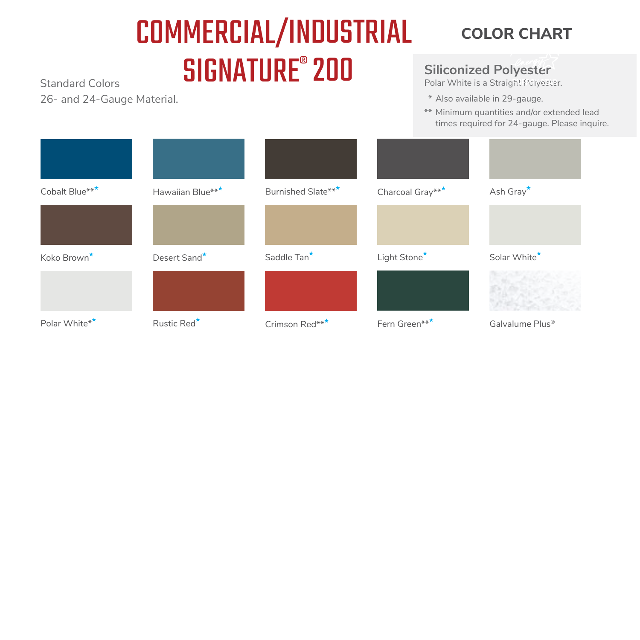## Standard Colors **SIGNATURE**<sup>®</sup> 200 COMMERCIAL/INDUSTRIAL **COLOR CHART**

26- and 24-Gauge Material.

#### **Siliconized Polyester**

Polar White is a Straight Polyester.

- \* Also available in 29-gauge.
- \*\* Minimum quantities and/or extended lead times required for 24-gauge. Please inquire.

| Cobalt Blue***          | Hawaiian Blue***        | Burnished Slate***      | Charcoal Gray*** | Ash Gray <sup>*</sup>       |
|-------------------------|-------------------------|-------------------------|------------------|-----------------------------|
|                         |                         |                         |                  |                             |
| Koko Brown <sup>*</sup> | Desert Sand*            | Saddle Tan <sup>*</sup> | Light Stone*     | Solar White*                |
|                         |                         |                         |                  |                             |
| Polar White**           | Rustic Red <sup>*</sup> | Crimson Red***          | Fern Green***    | Galvalume Plus <sup>®</sup> |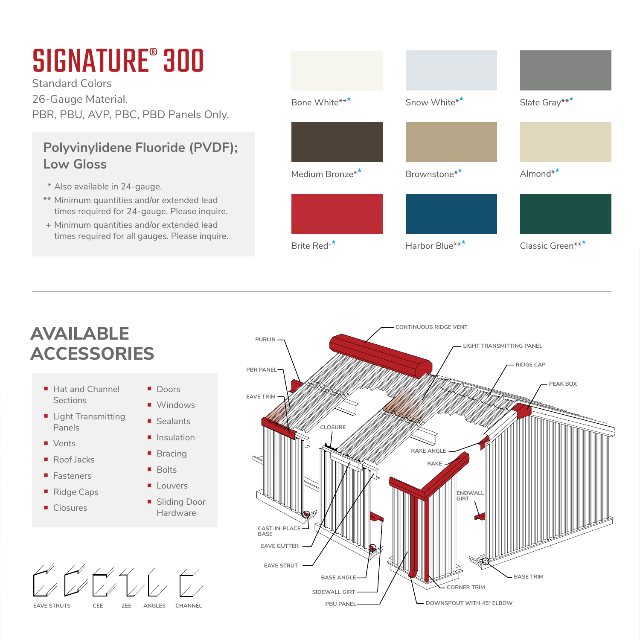# SIGNATURE<sup>®</sup> 300

Standard Colors 26-Gauge Material. PBR, PBU, AVP, PBC, PBD Panels Only.

### **Polyvinylidene Fluoride (PVDF); Low Gloss**

- \* Also available in 24-gauge.
- \*\* Minimum quantities and/or extended lead times required for 24-gauge. Please inquire.
- + Minimum quantities and/or extended lead times required for all gauges. Please inquire.



### **AVAILABLE ACCESSORIES**

- Hat and Channel **Sections**
- **Light Transmitting** Panels
- **Vents**
- Roof lacks
- Fasteners
- Ridge Caps
- Closures
- Doors Windows
	- Sealants
	- **Insulation**
	- **Bracing**
- **Bolts**
- **Louvers**
- **Sliding Door** Hardware